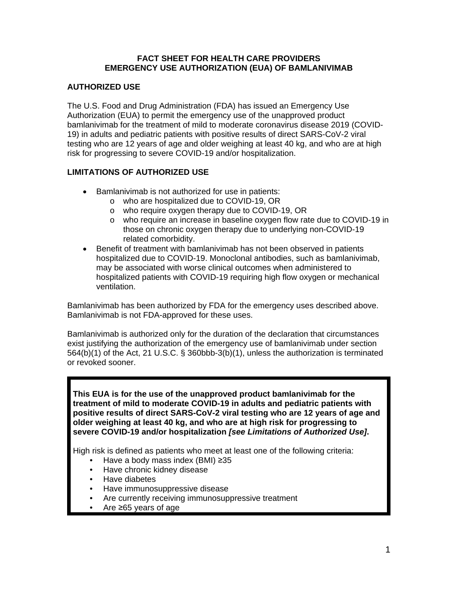#### **FACT SHEET FOR HEALTH CARE PROVIDERS EMERGENCY USE AUTHORIZATION (EUA) OF BAMLANIVIMAB**

### **AUTHORIZED USE**

The U.S. Food and Drug Administration (FDA) has issued an Emergency Use Authorization (EUA) to permit the emergency use of the unapproved product bamlanivimab for the treatment of mild to moderate coronavirus disease 2019 (COVID-19) in adults and pediatric patients with positive results of direct SARS-CoV-2 viral testing who are 12 years of age and older weighing at least 40 kg, and who are at high risk for progressing to severe COVID-19 and/or hospitalization.

### **LIMITATIONS OF AUTHORIZED USE**

- Bamlanivimab is not authorized for use in patients:
	- o who are hospitalized due to COVID-19, OR
	- o who require oxygen therapy due to COVID-19, OR
	- o who require an increase in baseline oxygen flow rate due to COVID-19 in those on chronic oxygen therapy due to underlying non-COVID-19 related comorbidity.
- Benefit of treatment with bamlanivimab has not been observed in patients hospitalized due to COVID-19. Monoclonal antibodies, such as bamlanivimab, may be associated with worse clinical outcomes when administered to hospitalized patients with COVID-19 requiring high flow oxygen or mechanical ventilation.

Bamlanivimab has been authorized by FDA for the emergency uses described above. Bamlanivimab is not FDA-approved for these uses.

Bamlanivimab is authorized only for the duration of the declaration that circumstances exist justifying the authorization of the emergency use of bamlanivimab under section 564(b)(1) of the Act, 21 U.S.C. § 360bbb-3(b)(1), unless the authorization is terminated or revoked sooner.

**This EUA is for the use of the unapproved product bamlanivimab for the treatment of mild to moderate COVID-19 in adults and pediatric patients with positive results of direct SARS-CoV-2 viral testing who are 12 years of age and older weighing at least 40 kg, and who are at high risk for progressing to severe COVID-19 and/or hospitalization** *[see Limitations of Authorized Use]***.** 

High risk is defined as patients who meet at least one of the following criteria:

- Have a body mass index (BMI)  $\geq 35$
- Have chronic kidney disease
- Have diabetes
- Have immunosuppressive disease
- Are currently receiving immunosuppressive treatment
- Are ≥65 years of age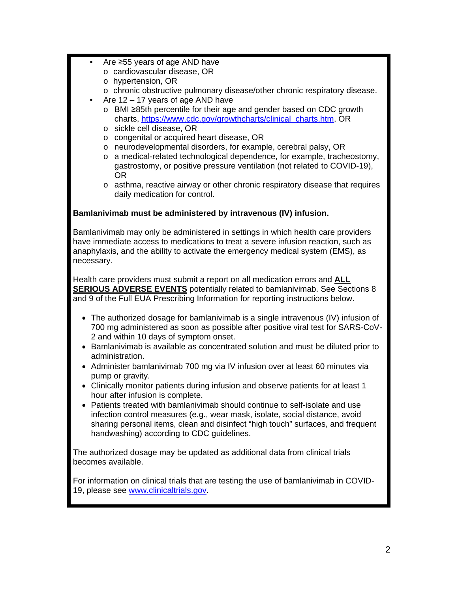- Are ≥55 years of age AND have
	- o cardiovascular disease, OR
	- o hypertension, OR
	- o chronic obstructive pulmonary disease/other chronic respiratory disease.
- Are  $12 17$  years of age AND have
	- o BMI ≥85th percentile for their age and gender based on CDC growth charts, [https://www.cdc.gov/growthcharts/clinical\\_charts.htm,](https://www.cdc.gov/growthcharts/clinical_charts.htm) OR
	- o sickle cell disease, OR
	- o congenital or acquired heart disease, OR
	- o neurodevelopmental disorders, for example, cerebral palsy, OR
	- o a medical-related technological dependence, for example, tracheostomy, gastrostomy, or positive pressure ventilation (not related to COVID-19), OR
	- o asthma, reactive airway or other chronic respiratory disease that requires daily medication for control.

### **Bamlanivimab must be administered by intravenous (IV) infusion.**

Bamlanivimab may only be administered in settings in which health care providers have immediate access to medications to treat a severe infusion reaction, such as anaphylaxis, and the ability to activate the emergency medical system (EMS), as necessary.

Health care providers must submit a report on all medication errors and **ALL SERIOUS ADVERSE EVENTS** potentially related to bamlanivimab. See Sections 8 and 9 of the Full EUA Prescribing Information for reporting instructions below.

- The authorized dosage for bamlanivimab is a single intravenous (IV) infusion of 700 mg administered as soon as possible after positive viral test for SARS-CoV-2 and within 10 days of symptom onset.
- Bamlanivimab is available as concentrated solution and must be diluted prior to administration.
- Administer bamlanivimab 700 mg via IV infusion over at least 60 minutes via pump or gravity.
- Clinically monitor patients during infusion and observe patients for at least 1 hour after infusion is complete.
- Patients treated with bamlanivimab should continue to self-isolate and use infection control measures (e.g., wear mask, isolate, social distance, avoid sharing personal items, clean and disinfect "high touch" surfaces, and frequent handwashing) according to CDC guidelines.

The authorized dosage may be updated as additional data from clinical trials becomes available.

For information on clinical trials that are testing the use of bamlanivimab in COVID-19, please see<www.clinicaltrials.gov>.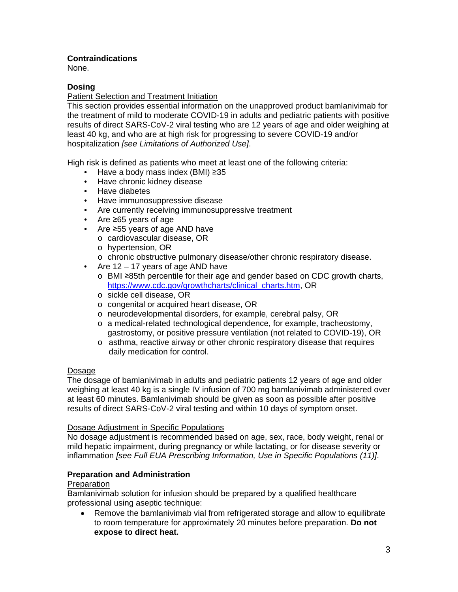### **Contraindications**

None.

### **Dosing**

### Patient Selection and Treatment Initiation

This section provides essential information on the unapproved product bamlanivimab for the treatment of mild to moderate COVID-19 in adults and pediatric patients with positive results of direct SARS-CoV-2 viral testing who are 12 years of age and older weighing at least 40 kg, and who are at high risk for progressing to severe COVID-19 and/or hospitalization *[see Limitations of Authorized Use]*.

High risk is defined as patients who meet at least one of the following criteria:

- Have a body mass index (BMI)  $\geq$ 35
- Have chronic kidney disease
- Have diabetes
- Have immunosuppressive disease
- Are currently receiving immunosuppressive treatment
- Are ≥65 years of age
- Are ≥55 years of age AND have
	- o cardiovascular disease, OR
	- o hypertension, OR
	- o chronic obstructive pulmonary disease/other chronic respiratory disease.
- Are 12 17 years of age AND have
	- o BMI ≥85th percentile for their age and gender based on CDC growth charts, [https://www.cdc.gov/growthcharts/clinical\\_charts.htm](https://www.cdc.gov/growthcharts/clinical_charts.htm), OR
	- o sickle cell disease, OR
	- o congenital or acquired heart disease, OR
	- o neurodevelopmental disorders, for example, cerebral palsy, OR
	- $\circ$  a medical-related technological dependence, for example, tracheostomy, gastrostomy, or positive pressure ventilation (not related to COVID-19), OR
	- o asthma, reactive airway or other chronic respiratory disease that requires daily medication for control.

#### Dosage

The dosage of bamlanivimab in adults and pediatric patients 12 years of age and older weighing at least 40 kg is a single IV infusion of 700 mg bamlanivimab administered over at least 60 minutes. Bamlanivimab should be given as soon as possible after positive results of direct SARS-CoV-2 viral testing and within 10 days of symptom onset.

#### Dosage Adjustment in Specific Populations

No dosage adjustment is recommended based on age, sex, race, body weight, renal or mild hepatic impairment, during pregnancy or while lactating, or for disease severity or inflammation *[see Full EUA Prescribing Information, Use in Specific Populations (11)]*.

### **Preparation and Administration**

#### Preparation

Bamlanivimab solution for infusion should be prepared by a qualified healthcare professional using aseptic technique:

 Remove the bamlanivimab vial from refrigerated storage and allow to equilibrate to room temperature for approximately 20 minutes before preparation. **Do not expose to direct heat.**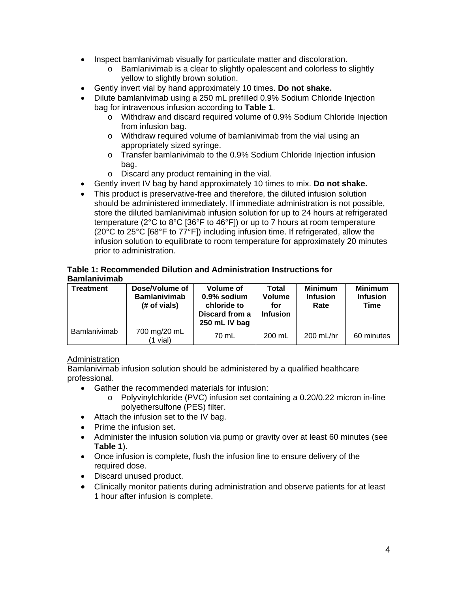- Inspect bamlanivimab visually for particulate matter and discoloration.
	- o Bamlanivimab is a clear to slightly opalescent and colorless to slightly yellow to slightly brown solution.
- Gently invert vial by hand approximately 10 times. **Do not shake.**
- Dilute bamlanivimab using a 250 mL prefilled 0.9% Sodium Chloride Injection bag for intravenous infusion according to **Table 1**.
	- o Withdraw and discard required volume of 0.9% Sodium Chloride Injection from infusion bag.
	- o Withdraw required volume of bamlanivimab from the vial using an appropriately sized syringe.
	- o Transfer bamlanivimab to the 0.9% Sodium Chloride Injection infusion bag.
	- o Discard any product remaining in the vial.
- Gently invert IV bag by hand approximately 10 times to mix. **Do not shake.**
- This product is preservative-free and therefore, the diluted infusion solution should be administered immediately. If immediate administration is not possible, store the diluted bamlanivimab infusion solution for up to 24 hours at refrigerated temperature (2°C to 8°C [36°F to 46°F]) or up to 7 hours at room temperature (20°C to 25°C [68°F to 77°F]) including infusion time. If refrigerated, allow the infusion solution to equilibrate to room temperature for approximately 20 minutes prior to administration.

#### **Table 1: Recommended Dilution and Administration Instructions for Bamlanivimab**

| <b>Treatment</b> | Dose/Volume of<br><b>Bamlanivimab</b><br>(# of vials) | <b>Volume of</b><br>$0.9\%$ sodium<br>chloride to<br>Discard from a<br>250 mL IV bag | Total<br>Volume<br>for<br><b>Infusion</b> | <b>Minimum</b><br><b>Infusion</b><br>Rate | <b>Minimum</b><br><b>Infusion</b><br>Time |
|------------------|-------------------------------------------------------|--------------------------------------------------------------------------------------|-------------------------------------------|-------------------------------------------|-------------------------------------------|
| Bamlanivimab     | 700 mg/20 mL<br>(1 vial)                              | 70 mL                                                                                | 200 mL                                    | $200$ mL/hr                               | 60 minutes                                |

### Administration

Bamlanivimab infusion solution should be administered by a qualified healthcare professional.

- Gather the recommended materials for infusion:
	- o Polyvinylchloride (PVC) infusion set containing a [0.20/0.22](https://0.20/0.22) micron in-line polyethersulfone (PES) filter.
- Attach the infusion set to the IV bag.
- Prime the infusion set.
- Administer the infusion solution via pump or gravity over at least 60 minutes (see **Table 1**).
- Once infusion is complete, flush the infusion line to ensure delivery of the required dose.
- Discard unused product.
- Clinically monitor patients during administration and observe patients for at least 1 hour after infusion is complete.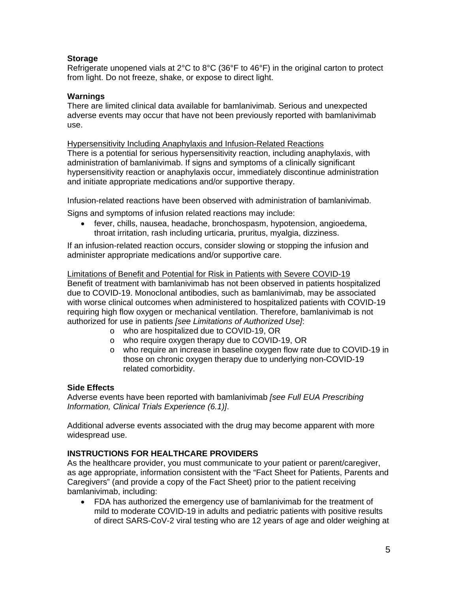### **Storage**

Refrigerate unopened vials at  $2^{\circ}$ C to  $8^{\circ}$ C (36 $^{\circ}$ F to 46 $^{\circ}$ F) in the original carton to protect from light. Do not freeze, shake, or expose to direct light.

#### **Warnings**

There are limited clinical data available for bamlanivimab. Serious and unexpected adverse events may occur that have not been previously reported with bamlanivimab use.

#### Hypersensitivity Including Anaphylaxis and Infusion-Related Reactions

There is a potential for serious hypersensitivity reaction, including anaphylaxis, with administration of bamlanivimab. If signs and symptoms of a clinically significant hypersensitivity reaction or anaphylaxis occur, immediately discontinue administration and initiate appropriate medications and/or supportive therapy.

Infusion-related reactions have been observed with administration of bamlanivimab.

Signs and symptoms of infusion related reactions may include:

 fever, chills, nausea, headache, bronchospasm, hypotension, angioedema, throat irritation, rash including urticaria, pruritus, myalgia, dizziness.

If an infusion-related reaction occurs, consider slowing or stopping the infusion and administer appropriate medications and/or supportive care.

### Limitations of Benefit and Potential for Risk in Patients with Severe COVID-19

Benefit of treatment with bamlanivimab has not been observed in patients hospitalized due to COVID-19. Monoclonal antibodies, such as bamlanivimab, may be associated with worse clinical outcomes when administered to hospitalized patients with COVID-19 requiring high flow oxygen or mechanical ventilation. Therefore, bamlanivimab is not authorized for use in patients *[see Limitations of Authorized Use]*:

- o who are hospitalized due to COVID-19, OR
- o who require oxygen therapy due to COVID-19, OR
- o who require an increase in baseline oxygen flow rate due to COVID-19 in those on chronic oxygen therapy due to underlying non-COVID-19 related comorbidity.

### **Side Effects**

Adverse events have been reported with bamlanivimab *[see Full EUA Prescribing Information, Clinical Trials Experience (6.1)]*.

Additional adverse events associated with the drug may become apparent with more widespread use.

### **INSTRUCTIONS FOR HEALTHCARE PROVIDERS**

As the healthcare provider, you must communicate to your patient or parent/caregiver, as age appropriate, information consistent with the "Fact Sheet for Patients, Parents and Caregivers" (and provide a copy of the Fact Sheet) prior to the patient receiving bamlanivimab, including:

 FDA has authorized the emergency use of bamlanivimab for the treatment of mild to moderate COVID-19 in adults and pediatric patients with positive results of direct SARS-CoV-2 viral testing who are 12 years of age and older weighing at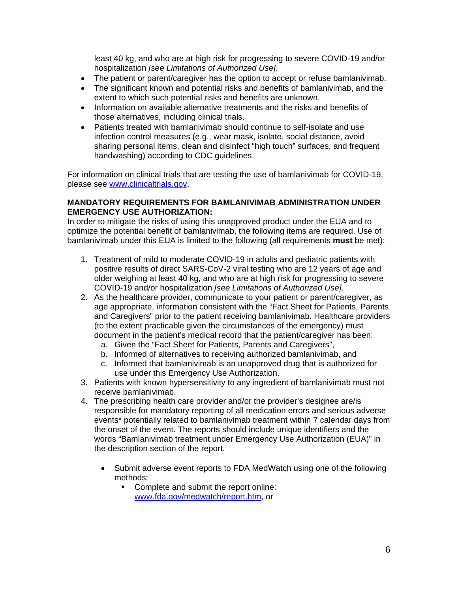least 40 kg, and who are at high risk for progressing to severe COVID-19 and/or hospitalization *[see Limitations of Authorized Use]*.

- The patient or parent/caregiver has the option to accept or refuse bamlanivimab.
- The significant known and potential risks and benefits of bamlanivimab, and the extent to which such potential risks and benefits are unknown.
- Information on available alternative treatments and the risks and benefits of those alternatives, including clinical trials.
- Patients treated with bamlanivimab should continue to self-isolate and use infection control measures (e.g., wear mask, isolate, social distance, avoid sharing personal items, clean and disinfect "high touch" surfaces, and frequent handwashing) according to CDC guidelines.

For information on clinical trials that are testing the use of bamlanivimab for COVID-19, please see<www.clinicaltrials.gov>.

#### **MANDATORY REQUIREMENTS FOR BAMLANIVIMAB ADMINISTRATION UNDER EMERGENCY USE AUTHORIZATION:**

In order to mitigate the risks of using this unapproved product under the EUA and to optimize the potential benefit of bamlanivimab, the following items are required. Use of bamlanivimab under this EUA is limited to the following (all requirements **must** be met):

- 1. Treatment of mild to moderate COVID-19 in adults and pediatric patients with positive results of direct SARS-CoV-2 viral testing who are 12 years of age and older weighing at least 40 kg, and who are at high risk for progressing to severe COVID-19 and/or hospitalization *[see Limitations of Authorized Use]*.
- 2. As the healthcare provider, communicate to your patient or parent/caregiver, as age appropriate, information consistent with the "Fact Sheet for Patients, Parents and Caregivers" prior to the patient receiving bamlanivimab. Healthcare providers (to the extent practicable given the circumstances of the emergency) must document in the patient's medical record that the patient/caregiver has been:
	- a. Given the "Fact Sheet for Patients, Parents and Caregivers",
	- b. Informed of alternatives to receiving authorized bamlanivimab, and
	- c. Informed that bamlanivimab is an unapproved drug that is authorized for use under this Emergency Use Authorization.
- 3. Patients with known hypersensitivity to any ingredient of bamlanivimab must not receive bamlanivimab.
- 4. The prescribing health care provider and/or the provider's designee are/is responsible for mandatory reporting of all medication errors and serious adverse events\* potentially related to bamlanivimab treatment within 7 calendar days from the onset of the event. The reports should include unique identifiers and the words "Bamlanivimab treatment under Emergency Use Authorization (EUA)" in the description section of the report.
	- Submit adverse event reports to FDA MedWatch using one of the following methods:
		- Complete and submit the report online: <www.fda.gov/medwatch/report.htm>, or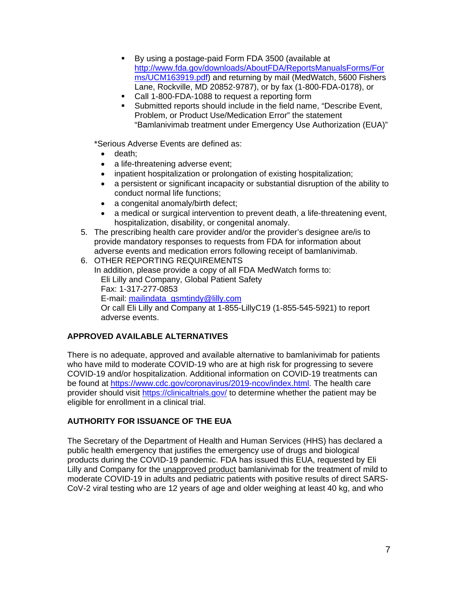- By using a postage-paid Form FDA 3500 (available at <http://www.fda.gov/downloads/AboutFDA/ReportsManualsForms/For> ms/UCM163919.pdf) and returning by mail (MedWatch, 5600 Fishers Lane, Rockville, MD 20852-9787), or by fax (1-800-FDA-0178), or
- Call 1-800-FDA-1088 to request a reporting form
- Submitted reports should include in the field name, "Describe Event, Problem, or Product Use/Medication Error" the statement "Bamlanivimab treatment under Emergency Use Authorization (EUA)"

\*Serious Adverse Events are defined as:

- death:
- a life-threatening adverse event;
- inpatient hospitalization or prolongation of existing hospitalization;
- a persistent or significant incapacity or substantial disruption of the ability to conduct normal life functions;
- a congenital anomaly/birth defect;
- a medical or surgical intervention to prevent death, a life-threatening event, hospitalization, disability, or congenital anomaly.
- 5. The prescribing health care provider and/or the provider's designee are/is to provide mandatory responses to requests from FDA for information about adverse events and medication errors following receipt of bamlanivimab.
- 6. OTHER REPORTING REQUIREMENTS In addition, please provide a copy of all FDA MedWatch forms to: Eli Lilly and Company, Global Patient Safety Fax: 1-317-277-0853 E-mail: [mailindata\\_gsmtindy@lilly.com](mailto:mailindata_gsmtindy@lilly.com)  Or call Eli Lilly and Company at 1-855-LillyC19 (1-855-545-5921) to report adverse events.

### **APPROVED AVAILABLE ALTERNATIVES**

There is no adequate, approved and available alternative to bamlanivimab for patients who have mild to moderate COVID-19 who are at high risk for progressing to severe COVID-19 and/or hospitalization. Additional information on COVID-19 treatments can be found at<https://www.cdc.gov/coronavirus/2019-ncov/index.html>. The health care provider should visit<https://clinicaltrials.gov>/ to determine whether the patient may be eligible for enrollment in a clinical trial.

### **AUTHORITY FOR ISSUANCE OF THE EUA**

The Secretary of the Department of Health and Human Services (HHS) has declared a public health emergency that justifies the emergency use of drugs and biological products during the COVID-19 pandemic. FDA has issued this EUA, requested by Eli Lilly and Company for the unapproved product bamlanivimab for the treatment of mild to moderate COVID-19 in adults and pediatric patients with positive results of direct SARS-CoV-2 viral testing who are 12 years of age and older weighing at least 40 kg, and who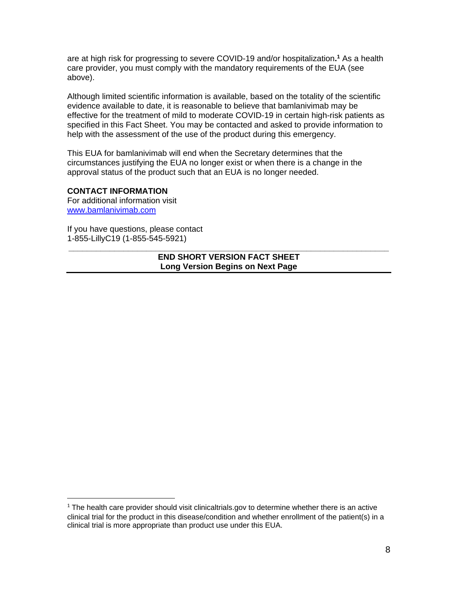are at high risk for progressing to severe COVID-19 and/or hospitalization**. 1** As a health care provider, you must comply with the mandatory requirements of the EUA (see above).

Although limited scientific information is available, based on the totality of the scientific evidence available to date, it is reasonable to believe that bamlanivimab may be effective for the treatment of mild to moderate COVID-19 in certain high-risk patients as specified in this Fact Sheet. You may be contacted and asked to provide information to help with the assessment of the use of the product during this emergency.

This EUA for bamlanivimab will end when the Secretary determines that the circumstances justifying the EUA no longer exist or when there is a change in the approval status of the product such that an EUA is no longer needed.

### **CONTACT INFORMATION**

For additional information visit <www.bamlanivimab.com>

If you have questions, please contact 1-855-LillyC19 (1-855-545-5921)

#### **\_\_\_\_\_\_\_\_\_\_\_\_\_\_\_\_\_\_\_\_\_\_\_\_\_\_\_\_\_\_\_\_\_\_\_\_\_\_\_\_\_\_\_\_\_\_\_\_\_\_\_\_\_\_\_\_\_\_\_\_\_\_\_\_\_\_\_\_\_\_ END SHORT VERSION FACT SHEET Long Version Begins on Next Page**

 $1$  The health care provider should visit [clinicaltrials.gov](https://clinicaltrials.gov) to determine whether there is an active clinical trial for the product in this disease/condition and whether enrollment of the patient(s) in a clinical trial is more appropriate than product use under this EUA.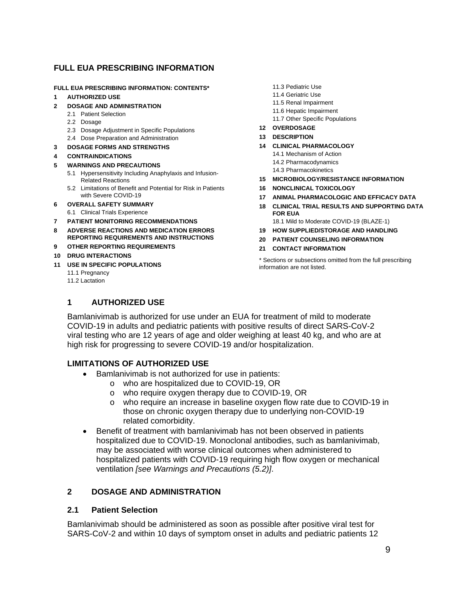### **FULL EUA PRESCRIBING INFORMATION**

# **FULL EUA PRESCRIBING INFORMATION: CONTENTS\*** 11.3 Pediatric Use<br>1. AUTHOPIZED USE

- 11.4 Geriatric Use **11.4 Geriatric Use 11.4 Geriatric Use** 11.4 Geriatric Use 11.4 Geriatric Use 11.5 Renal Impairment
- 11.5 Renal Impairment **2 DOSAGE AND ADMINISTRATION** 
	-
	-
	- **12 OVERDOSAGE** 2.3 Dosage Adjustment in Specific Populations
	- 2.4 Dose Preparation and Administration
- **3 DOSAGE FORMS AND STRENGTHS 14 CLINICAL PHARMACOLOGY**
- 14.1 Mechanism of Action **4 CONTRAINDICATIONS**
- 14.2 Pharmacodynamics **5 WARNINGS AND PRECAUTIONS** 
	- 5.1 Hypersensitivity Including Anaphylaxis and Infusion-
	- 5.2 Limitations of Benefit and Potential for Risk in Patients **16 NONCLINICAL TOXICOLOGY**
- 
- 6.1 Clinical Trials Experience
- 8 ADVERSE REACTIONS AND MEDICATION ERRORS 19 HOW SUPPLIED/STORAGE AND HANDLING<br>REPORTING REQUIREMENTS AND INSTRUCTIONS 20 BATIENT COUNSELING INFORMATION
- **9 OTHER REPORTING REQUIREMENTS 21 CONTACT INFORMATION**
- 
- - 11.1 Pregnancy
	- 11.2 Lactation
- 
- 
- 
- POSAGE AND ADMINISTRATION<br>2.1 Patient Selection
- 2.1 Fatisfic Populations<br>
2.2 Dosage Adjustment in Specific Populations<br>
2.3 Dosage Adjustment in Specific Populations<br>
2.3 Dosage Adjustment in Specific Populations<br>
2.3 Dosage Adjustment in Specific Populations
	-
	-
	- - -
		-
	- Related Reactions **15 MICROBIOLOGY/RESISTANCE INFORMATION** 
		-
- with Severe COVID-19 **17 ANIMAL PHARMACOLOGIC AND EFFICACY DATA**
- **6 OVERALL SAFETY SUMMARY 18 CLINICAL TRIAL RESULTS AND SUPPORTING DATA**<br>6.1 Clinical Trials Experience **18 CLINICAL TRIAL RESULTS AND SUPPORTING DATA**
- **7 PATIENT MONITORING RECOMMENDATIONS** 18.1 Mild to Moderate COVID-19 (BLAZE-1)
	-
	- **20 PATIENT COUNSELING INFORMATION**
	-

**10 DRUG INTERACTIONS** \* Sections or subsections omitted from the full prescribing **11 USE IN SPECIFIC POPULATIONS** information are not listed.

### **1 AUTHORIZED USE**

Bamlanivimab is authorized for use under an EUA for treatment of mild to moderate COVID-19 in adults and pediatric patients with positive results of direct SARS-CoV-2 viral testing who are 12 years of age and older weighing at least 40 kg, and who are at high risk for progressing to severe COVID-19 and/or hospitalization.

### **LIMITATIONS OF AUTHORIZED USE**

- Bamlanivimab is not authorized for use in patients:
	- o who are hospitalized due to COVID-19, OR
	- o who require oxygen therapy due to COVID-19, OR
	- o who require an increase in baseline oxygen flow rate due to COVID-19 in those on chronic oxygen therapy due to underlying non-COVID-19 related comorbidity.
- Benefit of treatment with bamlanivimab has not been observed in patients hospitalized due to COVID-19. Monoclonal antibodies, such as bamlanivimab, may be associated with worse clinical outcomes when administered to hospitalized patients with COVID-19 requiring high flow oxygen or mechanical ventilation *[see Warnings and Precautions (5.2)]*.

### **2 DOSAGE AND ADMINISTRATION**

#### **2.1 Patient Selection**

Bamlanivimab should be administered as soon as possible after positive viral test for SARS-CoV-2 and within 10 days of symptom onset in adults and pediatric patients 12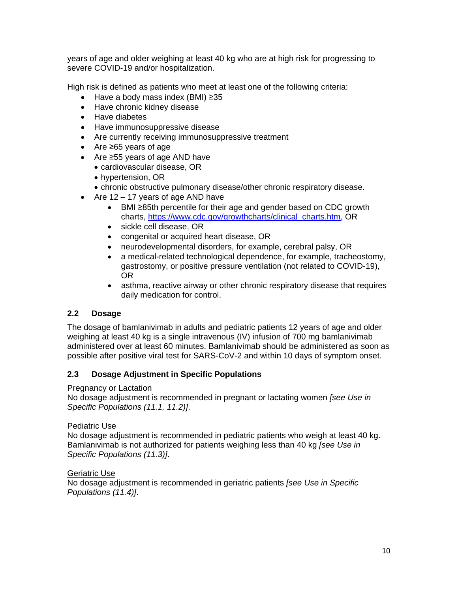years of age and older weighing at least 40 kg who are at high risk for progressing to severe COVID-19 and/or hospitalization.

High risk is defined as patients who meet at least one of the following criteria:

- Have a body mass index (BMI) ≥35
- Have chronic kidney disease
- Have diabetes
- Have immunosuppressive disease
- Are currently receiving immunosuppressive treatment
- Are ≥65 years of age
- Are ≥55 years of age AND have
	- cardiovascular disease, OR
	- hypertension, OR
	- chronic obstructive pulmonary disease/other chronic respiratory disease.
- Are  $12 17$  years of age AND have
	- BMI ≥85th percentile for their age and gender based on CDC growth charts, [https://www.cdc.gov/growthcharts/clinical\\_charts.htm](https://www.cdc.gov/growthcharts/clinical_charts.htm), OR
	- sickle cell disease, OR
	- congenital or acquired heart disease, OR
	- neurodevelopmental disorders, for example, cerebral palsy, OR
	- a medical-related technological dependence, for example, tracheostomy, gastrostomy, or positive pressure ventilation (not related to COVID-19), OR
	- asthma, reactive airway or other chronic respiratory disease that requires daily medication for control.

### **2.2 Dosage**

The dosage of bamlanivimab in adults and pediatric patients 12 years of age and older weighing at least 40 kg is a single intravenous (IV) infusion of 700 mg bamlanivimab administered over at least 60 minutes. Bamlanivimab should be administered as soon as possible after positive viral test for SARS-CoV-2 and within 10 days of symptom onset.

### **2.3 Dosage Adjustment in Specific Populations**

### Pregnancy or Lactation

No dosage adjustment is recommended in pregnant or lactating women *[see Use in Specific Populations (11.1, 11.2)]*.

### Pediatric Use

No dosage adjustment is recommended in pediatric patients who weigh at least 40 kg. Bamlanivimab is not authorized for patients weighing less than 40 kg *[see Use in Specific Populations (11.3)]*.

#### Geriatric Use

No dosage adjustment is recommended in geriatric patients *[see Use in Specific Populations (11.4)]*.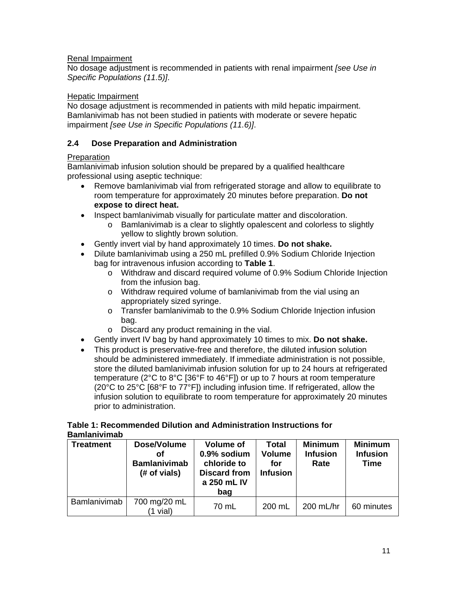### Renal Impairment

No dosage adjustment is recommended in patients with renal impairment *[see Use in Specific Populations (11.5)]*.

#### Hepatic Impairment

No dosage adjustment is recommended in patients with mild hepatic impairment. Bamlanivimab has not been studied in patients with moderate or severe hepatic impairment *[see Use in Specific Populations (11.6)]*.

### **2.4 Dose Preparation and Administration**

### Preparation

Bamlanivimab infusion solution should be prepared by a qualified healthcare professional using aseptic technique:

- Remove bamlanivimab vial from refrigerated storage and allow to equilibrate to room temperature for approximately 20 minutes before preparation. **Do not expose to direct heat.**
- Inspect bamlanivimab visually for particulate matter and discoloration.
	- o Bamlanivimab is a clear to slightly opalescent and colorless to slightly yellow to slightly brown solution.
- Gently invert vial by hand approximately 10 times. **Do not shake.**
- Dilute bamlanivimab using a 250 mL prefilled 0.9% Sodium Chloride Injection bag for intravenous infusion according to **Table 1**.
	- o Withdraw and discard required volume of 0.9% Sodium Chloride Injection from the infusion bag.
	- o Withdraw required volume of bamlanivimab from the vial using an appropriately sized syringe.
	- o Transfer bamlanivimab to the 0.9% Sodium Chloride Injection infusion bag.
	- o Discard any product remaining in the vial.
- Gently invert IV bag by hand approximately 10 times to mix. **Do not shake.**
- This product is preservative-free and therefore, the diluted infusion solution should be administered immediately. If immediate administration is not possible, store the diluted bamlanivimab infusion solution for up to 24 hours at refrigerated temperature (2°C to 8°C [36°F to 46°F]) or up to 7 hours at room temperature (20°C to 25°C [68°F to 77°F]) including infusion time. If refrigerated, allow the infusion solution to equilibrate to room temperature for approximately 20 minutes prior to administration.

#### **Table 1: Recommended Dilution and Administration Instructions for Bamlanivimab**

| <b>Treatment</b> | Dose/Volume<br>Οf<br><b>Bamlanivimab</b><br>(# of vials) | <b>Volume of</b><br>0.9% sodium<br>chloride to<br><b>Discard from</b><br>a 250 mL IV<br>bag | <b>Total</b><br><b>Volume</b><br>for<br><b>Infusion</b> | <b>Minimum</b><br><b>Infusion</b><br>Rate | <b>Minimum</b><br><b>Infusion</b><br>Time |
|------------------|----------------------------------------------------------|---------------------------------------------------------------------------------------------|---------------------------------------------------------|-------------------------------------------|-------------------------------------------|
| Bamlanivimab     | 700 mg/20 mL<br>(1 vial)                                 | 70 mL                                                                                       | 200 mL                                                  | $200$ mL/hr                               | 60 minutes                                |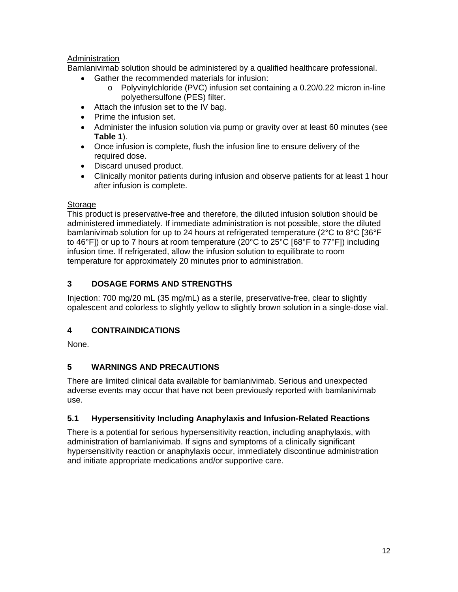### **Administration**

Bamlanivimab solution should be administered by a qualified healthcare professional.

- Gather the recommended materials for infusion:
	- o Polyvinylchloride (PVC) infusion set containing a [0.20/0.22](https://0.20/0.22) micron in-line polyethersulfone (PES) filter.
- Attach the infusion set to the IV bag.
- Prime the infusion set.
- Administer the infusion solution via pump or gravity over at least 60 minutes (see **Table 1**).
- Once infusion is complete, flush the infusion line to ensure delivery of the required dose.
- Discard unused product.
- Clinically monitor patients during infusion and observe patients for at least 1 hour after infusion is complete.

### Storage

This product is preservative-free and therefore, the diluted infusion solution should be administered immediately. If immediate administration is not possible, store the diluted bamlanivimab solution for up to 24 hours at refrigerated temperature (2°C to 8°C [36°F to 46°F]) or up to 7 hours at room temperature (20°C to 25°C [68°F to 77°F]) including infusion time. If refrigerated, allow the infusion solution to equilibrate to room temperature for approximately 20 minutes prior to administration.

### **3 DOSAGE FORMS AND STRENGTHS**

Injection: 700 mg/20 mL (35 mg/mL) as a sterile, preservative-free, clear to slightly opalescent and colorless to slightly yellow to slightly brown solution in a single-dose vial.

### **4 CONTRAINDICATIONS**

None.

### **5 WARNINGS AND PRECAUTIONS**

There are limited clinical data available for bamlanivimab. Serious and unexpected adverse events may occur that have not been previously reported with bamlanivimab use.

### **5.1 Hypersensitivity Including Anaphylaxis and Infusion-Related Reactions**

There is a potential for serious hypersensitivity reaction, including anaphylaxis, with administration of bamlanivimab. If signs and symptoms of a clinically significant hypersensitivity reaction or anaphylaxis occur, immediately discontinue administration and initiate appropriate medications and/or supportive care.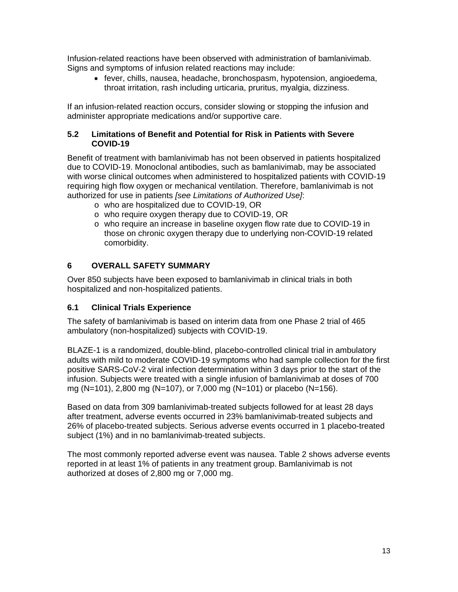Infusion-related reactions have been observed with administration of bamlanivimab. Signs and symptoms of infusion related reactions may include:

 fever, chills, nausea, headache, bronchospasm, hypotension, angioedema, throat irritation, rash including urticaria, pruritus, myalgia, dizziness.

If an infusion-related reaction occurs, consider slowing or stopping the infusion and administer appropriate medications and/or supportive care.

### **5.2 Limitations of Benefit and Potential for Risk in Patients with Severe COVID-19**

Benefit of treatment with bamlanivimab has not been observed in patients hospitalized due to COVID-19. Monoclonal antibodies, such as bamlanivimab, may be associated with worse clinical outcomes when administered to hospitalized patients with COVID-19 requiring high flow oxygen or mechanical ventilation. Therefore, bamlanivimab is not authorized for use in patients *[see Limitations of Authorized Use]*:

- o who are hospitalized due to COVID-19, OR
- o who require oxygen therapy due to COVID-19, OR
- o who require an increase in baseline oxygen flow rate due to COVID-19 in those on chronic oxygen therapy due to underlying non-COVID-19 related comorbidity.

### **6 OVERALL SAFETY SUMMARY**

Over 850 subjects have been exposed to bamlanivimab in clinical trials in both hospitalized and non-hospitalized patients.

### **6.1 Clinical Trials Experience**

The safety of bamlanivimab is based on interim data from one Phase 2 trial of 465 ambulatory (non-hospitalized) subjects with COVID-19.

BLAZE-1 is a randomized, double‐blind, placebo-controlled clinical trial in ambulatory adults with mild to moderate COVID-19 symptoms who had sample collection for the first positive SARS-CoV-2 viral infection determination within 3 days prior to the start of the infusion. Subjects were treated with a single infusion of bamlanivimab at doses of 700 mg (N=101), 2,800 mg (N=107), or 7,000 mg (N=101) or placebo (N=156).

Based on data from 309 bamlanivimab-treated subjects followed for at least 28 days after treatment, adverse events occurred in 23% bamlanivimab-treated subjects and 26% of placebo-treated subjects. Serious adverse events occurred in 1 placebo-treated subject (1%) and in no bamlanivimab-treated subjects.

The most commonly reported adverse event was nausea. Table 2 shows adverse events reported in at least 1% of patients in any treatment group. Bamlanivimab is not authorized at doses of 2,800 mg or 7,000 mg.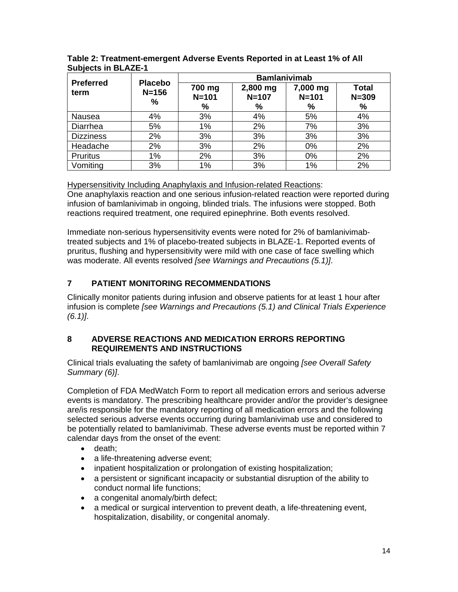| <b>Preferred</b> | <b>Placebo</b> | <b>Bamlanivimab</b>      |                            |                            |                                |  |
|------------------|----------------|--------------------------|----------------------------|----------------------------|--------------------------------|--|
| term             | $N = 156$<br>% | 700 mg<br>$N = 101$<br>% | 2,800 mg<br>$N = 107$<br>% | 7,000 mg<br>$N = 101$<br>% | <b>Total</b><br>$N = 309$<br>% |  |
| Nausea           | 4%             | 3%                       | 4%                         | 5%                         | 4%                             |  |
| Diarrhea         | 5%             | 1%                       | 2%                         | 7%                         | 3%                             |  |
| <b>Dizziness</b> | 2%             | 3%                       | 3%                         | 3%                         | 3%                             |  |
| Headache         | 2%             | 3%                       | 2%                         | 0%                         | 2%                             |  |
| <b>Pruritus</b>  | 1%             | 2%                       | 3%                         | 0%                         | 2%                             |  |
| Vomiting         | 3%             | 1%                       | 3%                         | 1%                         | 2%                             |  |

**Table 2: Treatment-emergent Adverse Events Reported in at Least 1% of All Subjects in BLAZE-1** 

Hypersensitivity Including Anaphylaxis and Infusion-related Reactions: One anaphylaxis reaction and one serious infusion-related reaction were reported during infusion of bamlanivimab in ongoing, blinded trials. The infusions were stopped. Both reactions required treatment, one required epinephrine. Both events resolved.

Immediate non-serious hypersensitivity events were noted for 2% of bamlanivimabtreated subjects and 1% of placebo-treated subjects in BLAZE-1. Reported events of pruritus, flushing and hypersensitivity were mild with one case of face swelling which was moderate. All events resolved *[see Warnings and Precautions (5.1)]*.

## **7 PATIENT MONITORING RECOMMENDATIONS**

Clinically monitor patients during infusion and observe patients for at least 1 hour after infusion is complete *[see Warnings and Precautions (5.1) and Clinical Trials Experience (6.1)]*.

### **8 ADVERSE REACTIONS AND MEDICATION ERRORS REPORTING REQUIREMENTS AND INSTRUCTIONS**

Clinical trials evaluating the safety of bamlanivimab are ongoing *[see Overall Safety Summary (6)]*.

Completion of FDA MedWatch Form to report all medication errors and serious adverse events is mandatory. The prescribing healthcare provider and/or the provider's designee are/is responsible for the mandatory reporting of all medication errors and the following selected serious adverse events occurring during bamlanivimab use and considered to be potentially related to bamlanivimab. These adverse events must be reported within 7 calendar days from the onset of the event:

- death:
- a life-threatening adverse event;
- inpatient hospitalization or prolongation of existing hospitalization;
- a persistent or significant incapacity or substantial disruption of the ability to conduct normal life functions;
- a congenital anomaly/birth defect;
- a medical or surgical intervention to prevent death, a life-threatening event, hospitalization, disability, or congenital anomaly.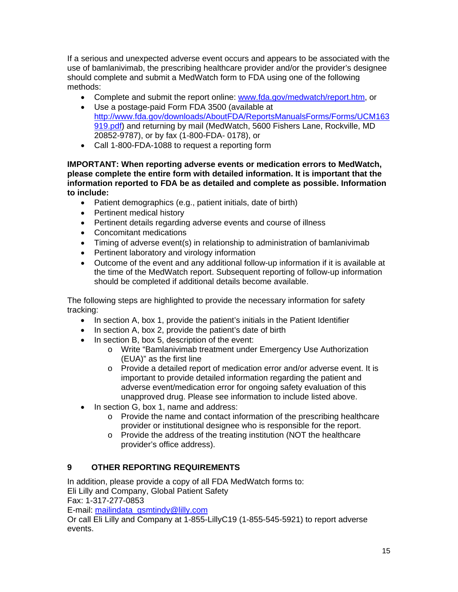If a serious and unexpected adverse event occurs and appears to be associated with the use of bamlanivimab, the prescribing healthcare provider and/or the provider's designee should complete and submit a MedWatch form to FDA using one of the following methods:

- Complete and submit the report online: [www.fda.gov/medwatch/report.htm,](www.fda.gov/medwatch/report.htm) or
- Use a postage-paid Form FDA 3500 (available at <http://www.fda.gov/downloads/AboutFDA/ReportsManualsForms/Forms/UCM163> 919.pdf) and returning by mail (MedWatch, 5600 Fishers Lane, Rockville, MD 20852-9787), or by fax (1-800-FDA- 0178), or
- Call 1-800-FDA-1088 to request a reporting form

**IMPORTANT: When reporting adverse events or medication errors to MedWatch, please complete the entire form with detailed information. It is important that the information reported to FDA be as detailed and complete as possible. Information to include:** 

- Patient demographics (e.g., patient initials, date of birth)
- Pertinent medical history
- Pertinent details regarding adverse events and course of illness
- Concomitant medications
- Timing of adverse event(s) in relationship to administration of bamlanivimab
- Pertinent laboratory and virology information
- Outcome of the event and any additional follow-up information if it is available at the time of the MedWatch report. Subsequent reporting of follow-up information should be completed if additional details become available.

The following steps are highlighted to provide the necessary information for safety tracking:

- In section A, box 1, provide the patient's initials in the Patient Identifier
- In section A, box 2, provide the patient's date of birth
- In section B, box 5, description of the event:
	- o Write "Bamlanivimab treatment under Emergency Use Authorization (EUA)" as the first line
	- o Provide a detailed report of medication error and/or adverse event. It is important to provide detailed information regarding the patient and adverse event/medication error for ongoing safety evaluation of this unapproved drug. Please see information to include listed above.
- In section G, box 1, name and address:
	- $\circ$  Provide the name and contact information of the prescribing healthcare provider or institutional designee who is responsible for the report.
	- o Provide the address of the treating institution (NOT the healthcare provider's office address).

#### **OTHER REPORTING REQUIREMENTS 9**

In addition, please provide a copy of all FDA MedWatch forms to:

Eli Lilly and Company, Global Patient Safety

Fax: 1-317-277-0853

E-mail: [mailindata\\_gsmtindy@lilly.com](mailto:mailindata_gsmtindy@lilly.com) 

Or call Eli Lilly and Company at 1-855-LillyC19 (1-855-545-5921) to report adverse events.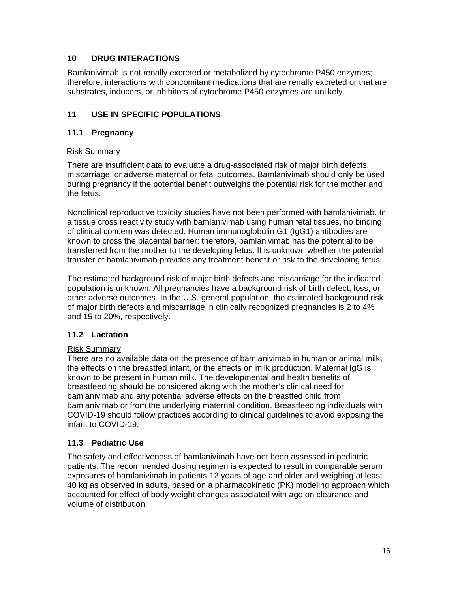### **10 DRUG INTERACTIONS**

Bamlanivimab is not renally excreted or metabolized by cytochrome P450 enzymes; therefore, interactions with concomitant medications that are renally excreted or that are substrates, inducers, or inhibitors of cytochrome P450 enzymes are unlikely.

### **11 USE IN SPECIFIC POPULATIONS**

### **11.1 Pregnancy**

#### Risk Summary

There are insufficient data to evaluate a drug-associated risk of major birth defects, miscarriage, or adverse maternal or fetal outcomes. Bamlanivimab should only be used during pregnancy if the potential benefit outweighs the potential risk for the mother and the fetus.

Nonclinical reproductive toxicity studies have not been performed with bamlanivimab. In a tissue cross reactivity study with bamlanivimab using human fetal tissues, no binding of clinical concern was detected. Human immunoglobulin G1 (IgG1) antibodies are known to cross the placental barrier; therefore, bamlanivimab has the potential to be transferred from the mother to the developing fetus. It is unknown whether the potential transfer of bamlanivimab provides any treatment benefit or risk to the developing fetus.

The estimated background risk of major birth defects and miscarriage for the indicated population is unknown. All pregnancies have a background risk of birth defect, loss, or other adverse outcomes. In the U.S. general population, the estimated background risk of major birth defects and miscarriage in clinically recognized pregnancies is 2 to 4% and 15 to 20%, respectively.

### **11.2 Lactation**

### Risk Summary

There are no available data on the presence of bamlanivimab in human or animal milk, the effects on the breastfed infant, or the effects on milk production. Maternal IgG is known to be present in human milk. The developmental and health benefits of breastfeeding should be considered along with the mother's clinical need for bamlanivimab and any potential adverse effects on the breastfed child from bamlanivimab or from the underlying maternal condition. Breastfeeding individuals with COVID-19 should follow practices according to clinical guidelines to avoid exposing the infant to COVID-19.

### **11.3 Pediatric Use**

The safety and effectiveness of bamlanivimab have not been assessed in pediatric patients. The recommended dosing regimen is expected to result in comparable serum exposures of bamlanivimab in patients 12 years of age and older and weighing at least 40 kg as observed in adults, based on a pharmacokinetic (PK) modeling approach which accounted for effect of body weight changes associated with age on clearance and volume of distribution.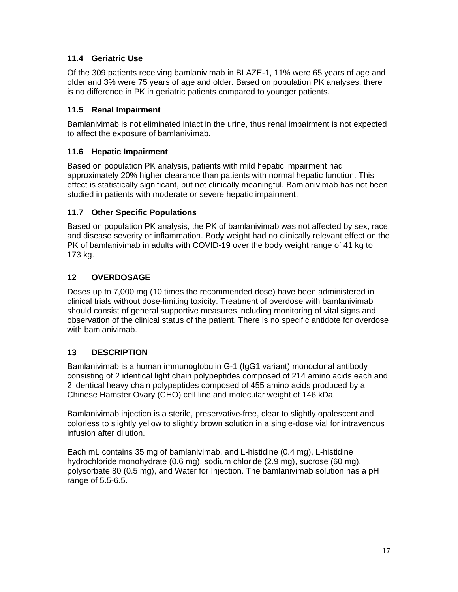### **11.4 Geriatric Use**

Of the 309 patients receiving bamlanivimab in BLAZE-1, 11% were 65 years of age and older and 3% were 75 years of age and older. Based on population PK analyses, there is no difference in PK in geriatric patients compared to younger patients.

### **11.5 Renal Impairment**

Bamlanivimab is not eliminated intact in the urine, thus renal impairment is not expected to affect the exposure of bamlanivimab.

### **11.6 Hepatic Impairment**

Based on population PK analysis, patients with mild hepatic impairment had approximately 20% higher clearance than patients with normal hepatic function. This effect is statistically significant, but not clinically meaningful. Bamlanivimab has not been studied in patients with moderate or severe hepatic impairment.

### **11.7 Other Specific Populations**

Based on population PK analysis, the PK of bamlanivimab was not affected by sex, race, and disease severity or inflammation. Body weight had no clinically relevant effect on the PK of bamlanivimab in adults with COVID-19 over the body weight range of 41 kg to 173 kg.

### **12 OVERDOSAGE**

Doses up to 7,000 mg (10 times the recommended dose) have been administered in clinical trials without dose-limiting toxicity. Treatment of overdose with bamlanivimab should consist of general supportive measures including monitoring of vital signs and observation of the clinical status of the patient. There is no specific antidote for overdose with bamlanivimab.

### **13 DESCRIPTION**

Bamlanivimab is a human immunoglobulin G-1 (IgG1 variant) monoclonal antibody consisting of 2 identical light chain polypeptides composed of 214 amino acids each and 2 identical heavy chain polypeptides composed of 455 amino acids produced by a Chinese Hamster Ovary (CHO) cell line and molecular weight of 146 kDa.

Bamlanivimab injection is a sterile, preservative‐free, clear to slightly opalescent and colorless to slightly yellow to slightly brown solution in a single-dose vial for intravenous infusion after dilution.

Each mL contains 35 mg of bamlanivimab, and L-histidine (0.4 mg), L-histidine hydrochloride monohydrate (0.6 mg), sodium chloride (2.9 mg), sucrose (60 mg), polysorbate 80 (0.5 mg), and Water for Injection. The bamlanivimab solution has a pH range of 5.5-6.5.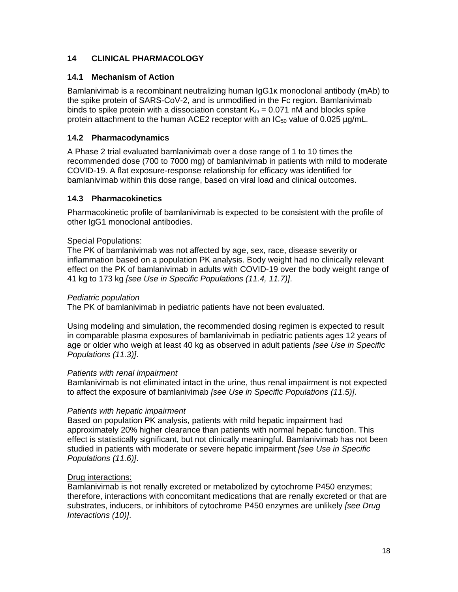### **14 CLINICAL PHARMACOLOGY**

### **14.1 Mechanism of Action**

Bamlanivimab is a recombinant neutralizing human IgG1κ monoclonal antibody (mAb) to the spike protein of SARS-CoV-2, and is unmodified in the Fc region. Bamlanivimab binds to spike protein with a dissociation constant  $K_D = 0.071$  nM and blocks spike protein attachment to the human ACE2 receptor with an  $IC_{50}$  value of 0.025  $\mu$ g/mL.

### **14.2 Pharmacodynamics**

A Phase 2 trial evaluated bamlanivimab over a dose range of 1 to 10 times the recommended dose (700 to 7000 mg) of bamlanivimab in patients with mild to moderate COVID-19. A flat exposure-response relationship for efficacy was identified for bamlanivimab within this dose range, based on viral load and clinical outcomes.

### **14.3 Pharmacokinetics**

Pharmacokinetic profile of bamlanivimab is expected to be consistent with the profile of other IgG1 monoclonal antibodies.

### Special Populations:

The PK of bamlanivimab was not affected by age, sex, race, disease severity or inflammation based on a population PK analysis. Body weight had no clinically relevant effect on the PK of bamlanivimab in adults with COVID-19 over the body weight range of 41 kg to 173 kg *[see Use in Specific Populations (11.4, 11.7)]*.

### *Pediatric population*

The PK of bamlanivimab in pediatric patients have not been evaluated.

Using modeling and simulation, the recommended dosing regimen is expected to result in comparable plasma exposures of bamlanivimab in pediatric patients ages 12 years of age or older who weigh at least 40 kg as observed in adult patients *[see Use in Specific Populations (11.3)]*.

### *Patients with renal impairment*

Bamlanivimab is not eliminated intact in the urine, thus renal impairment is not expected to affect the exposure of bamlanivimab *[see Use in Specific Populations (11.5)]*.

### *Patients with hepatic impairment*

Based on population PK analysis, patients with mild hepatic impairment had approximately 20% higher clearance than patients with normal hepatic function. This effect is statistically significant, but not clinically meaningful. Bamlanivimab has not been studied in patients with moderate or severe hepatic impairment *[see Use in Specific Populations (11.6)]*.

### Drug interactions:

Bamlanivimab is not renally excreted or metabolized by cytochrome P450 enzymes; therefore, interactions with concomitant medications that are renally excreted or that are substrates, inducers, or inhibitors of cytochrome P450 enzymes are unlikely *[see Drug Interactions (10)]*.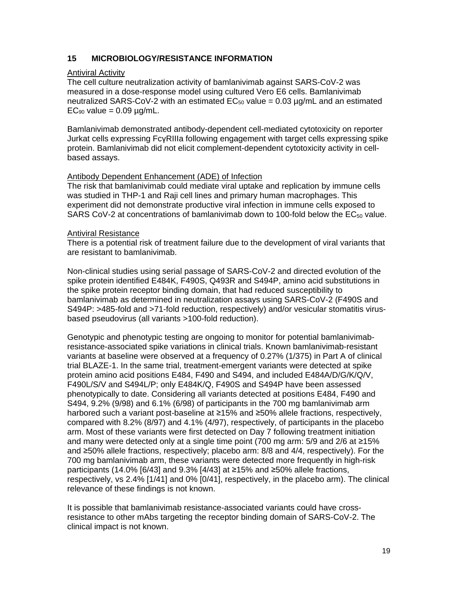### **15 MICROBIOLOGY/RESISTANCE INFORMATION**

#### Antiviral Activity

The cell culture neutralization activity of bamlanivimab against SARS-CoV-2 was measured in a dose-response model using cultured Vero E6 cells. Bamlanivimab neutralized SARS-CoV-2 with an estimated  $EC_{50}$  value = 0.03  $\mu$ g/mL and an estimated  $EC_{90}$  value = 0.09  $\mu$ g/mL.

Bamlanivimab demonstrated antibody-dependent cell-mediated cytotoxicity on reporter Jurkat cells expressing FcγRIIIa following engagement with target cells expressing spike protein. Bamlanivimab did not elicit complement-dependent cytotoxicity activity in cellbased assays.

#### Antibody Dependent Enhancement (ADE) of Infection

The risk that bamlanivimab could mediate viral uptake and replication by immune cells was studied in THP-1 and Raji cell lines and primary human macrophages. This experiment did not demonstrate productive viral infection in immune cells exposed to SARS CoV-2 at concentrations of bamlanivimab down to 100-fold below the  $EC_{50}$  value.

#### Antiviral Resistance

There is a potential risk of treatment failure due to the development of viral variants that are resistant to bamlanivimab.

Non-clinical studies using serial passage of SARS-CoV-2 and directed evolution of the spike protein identified E484K, F490S, Q493R and S494P, amino acid substitutions in the spike protein receptor binding domain, that had reduced susceptibility to bamlanivimab as determined in neutralization assays using SARS-CoV-2 (F490S and S494P: >485-fold and >71-fold reduction, respectively) and/or vesicular stomatitis virusbased pseudovirus (all variants >100-fold reduction).

Genotypic and phenotypic testing are ongoing to monitor for potential bamlanivimabresistance-associated spike variations in clinical trials. Known bamlanivimab-resistant variants at baseline were observed at a frequency of 0.27% (1/375) in Part A of clinical trial BLAZE-1. In the same trial, treatment-emergent variants were detected at spike protein amino acid positions E484, F490 and S494, and included E484A/D/G/K/Q/V, F490L/S/V and S494L/P; only E484K/Q, F490S and S494P have been assessed phenotypically to date. Considering all variants detected at positions E484, F490 and S494, 9.2% (9/98) and 6.1% (6/98) of participants in the 700 mg bamlanivimab arm harbored such a variant post-baseline at ≥15% and ≥50% allele fractions, respectively, compared with 8.2% (8/97) and 4.1% (4/97), respectively, of participants in the placebo arm. Most of these variants were first detected on Day 7 following treatment initiation and many were detected only at a single time point (700 mg arm: 5/9 and 2/6 at ≥15% and ≥50% allele fractions, respectively; placebo arm: 8/8 and 4/4, respectively). For the 700 mg bamlanivimab arm, these variants were detected more frequently in high-risk participants (14.0% [6/43] and 9.3% [4/43] at ≥15% and ≥50% allele fractions, respectively, vs 2.4% [1/41] and 0% [0/41], respectively, in the placebo arm). The clinical relevance of these findings is not known.

It is possible that bamlanivimab resistance-associated variants could have crossresistance to other mAbs targeting the receptor binding domain of SARS-CoV-2. The clinical impact is not known.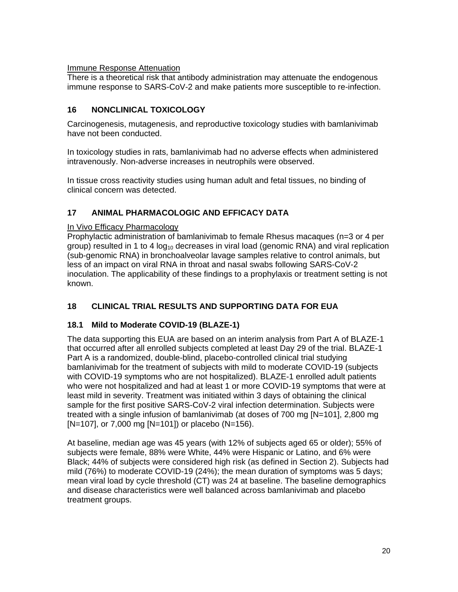#### Immune Response Attenuation

There is a theoretical risk that antibody administration may attenuate the endogenous immune response to SARS-CoV-2 and make patients more susceptible to re-infection.

### **16 NONCLINICAL TOXICOLOGY**

Carcinogenesis, mutagenesis, and reproductive toxicology studies with bamlanivimab have not been conducted.

In toxicology studies in rats, bamlanivimab had no adverse effects when administered intravenously. Non-adverse increases in neutrophils were observed.

In tissue cross reactivity studies using human adult and fetal tissues, no binding of clinical concern was detected.

### **17 ANIMAL PHARMACOLOGIC AND EFFICACY DATA**

#### In Vivo Efficacy Pharmacology

Prophylactic administration of bamlanivimab to female Rhesus macaques (n=3 or 4 per group) resulted in 1 to 4  $log<sub>10</sub>$  decreases in viral load (genomic RNA) and viral replication (sub-genomic RNA) in bronchoalveolar lavage samples relative to control animals, but less of an impact on viral RNA in throat and nasal swabs following SARS-CoV-2 inoculation. The applicability of these findings to a prophylaxis or treatment setting is not known.

### **18 CLINICAL TRIAL RESULTS AND SUPPORTING DATA FOR EUA**

### **18.1 Mild to Moderate COVID-19 (BLAZE-1)**

The data supporting this EUA are based on an interim analysis from Part A of BLAZE-1 that occurred after all enrolled subjects completed at least Day 29 of the trial. BLAZE-1 Part A is a randomized, double-blind, placebo-controlled clinical trial studying bamlanivimab for the treatment of subjects with mild to moderate COVID-19 (subjects with COVID-19 symptoms who are not hospitalized). BLAZE-1 enrolled adult patients who were not hospitalized and had at least 1 or more COVID-19 symptoms that were at least mild in severity. Treatment was initiated within 3 days of obtaining the clinical sample for the first positive SARS-CoV-2 viral infection determination. Subjects were treated with a single infusion of bamlanivimab (at doses of 700 mg [N=101], 2,800 mg  $[N=107]$ , or 7,000 mg  $[N=101]$ ) or placebo (N=156).

At baseline, median age was 45 years (with 12% of subjects aged 65 or older); 55% of subjects were female, 88% were White, 44% were Hispanic or Latino, and 6% were Black; 44% of subjects were considered high risk (as defined in Section 2). Subjects had mild (76%) to moderate COVID-19 (24%); the mean duration of symptoms was 5 days; mean viral load by cycle threshold (CT) was 24 at baseline. The baseline demographics and disease characteristics were well balanced across bamlanivimab and placebo treatment groups.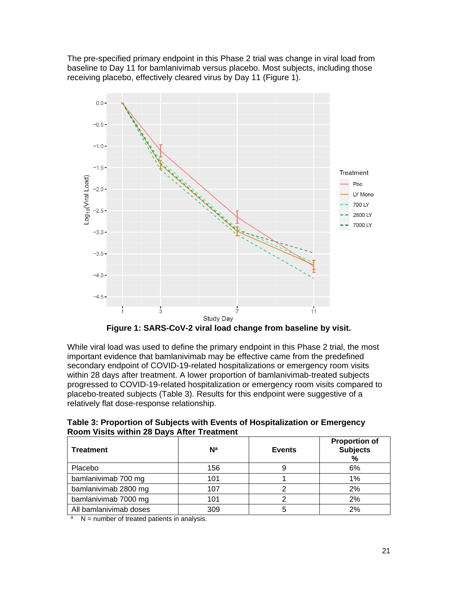The pre-specified primary endpoint in this Phase 2 trial was change in viral load from baseline to Day 11 for bamlanivimab versus placebo. Most subjects, including those receiving placebo, effectively cleared virus by Day 11 (Figure 1).



**Figure 1: SARS-CoV-2 viral load change from baseline by visit.** 

While viral load was used to define the primary endpoint in this Phase 2 trial, the most important evidence that bamlanivimab may be effective came from the predefined secondary endpoint of COVID-19-related hospitalizations or emergency room visits within 28 days after treatment. A lower proportion of bamlanivimab-treated subjects progressed to COVID-19-related hospitalization or emergency room visits compared to placebo-treated subjects (Table 3). Results for this endpoint were suggestive of a relatively flat dose-response relationship.

**Table 3: Proportion of Subjects with Events of Hospitalization or Emergency Room Visits within 28 Days After Treatment** 

| <b>Treatment</b>       | $\mathsf{N}^{\mathsf{a}}$ | <b>Events</b> | <b>Proportion of</b><br><b>Subjects</b><br>% |
|------------------------|---------------------------|---------------|----------------------------------------------|
| Placebo                | 156                       |               | 6%                                           |
| bamlanivimab 700 mg    | 101                       |               | 1%                                           |
| bamlanivimab 2800 mg   | 107                       |               | 2%                                           |
| bamlanivimab 7000 mg   | 101                       | ◠             | 2%                                           |
| All bamlanivimab doses | 309                       | b             | 2%                                           |

 $\lambda$  N = number of treated patients in analysis.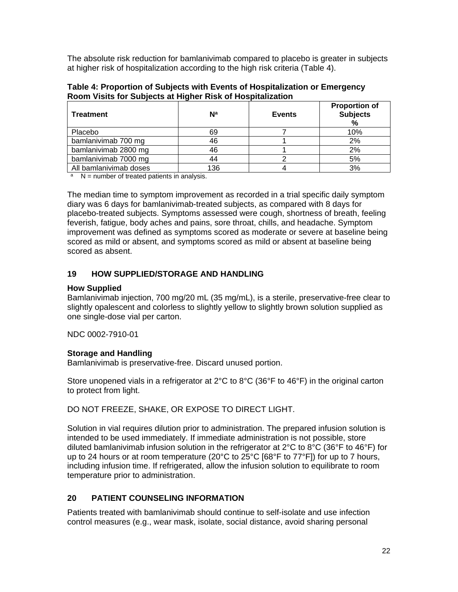The absolute risk reduction for bamlanivimab compared to placebo is greater in subjects at higher risk of hospitalization according to the high risk criteria (Table 4).

| Table 4: Proportion of Subjects with Events of Hospitalization or Emergency |
|-----------------------------------------------------------------------------|
| Room Visits for Subjects at Higher Risk of Hospitalization                  |

| <b>Treatment</b>       | $\mathsf{N}^{\mathsf{a}}$ | <b>Events</b> | <b>Proportion of</b><br><b>Subjects</b><br>% |
|------------------------|---------------------------|---------------|----------------------------------------------|
| Placebo                | 69                        |               | 10%                                          |
| bamlanivimab 700 mg    | 46                        |               | 2%                                           |
| bamlanivimab 2800 mg   | 46                        |               | 2%                                           |
| bamlanivimab 7000 mg   | 44                        |               | 5%                                           |
| All bamlanivimab doses | 136                       |               | 3%                                           |

 $N =$  number of treated patients in analysis.

The median time to symptom improvement as recorded in a trial specific daily symptom diary was 6 days for bamlanivimab-treated subjects, as compared with 8 days for placebo-treated subjects. Symptoms assessed were cough, shortness of breath, feeling feverish, fatigue, body aches and pains, sore throat, chills, and headache. Symptom improvement was defined as symptoms scored as moderate or severe at baseline being scored as mild or absent, and symptoms scored as mild or absent at baseline being scored as absent.

### **19 HOW SUPPLIED/STORAGE AND HANDLING**

### **How Supplied**

Bamlanivimab injection, 700 mg/20 mL (35 mg/mL), is a sterile, preservative-free clear to slightly opalescent and colorless to slightly yellow to slightly brown solution supplied as one single-dose vial per carton.

NDC 0002-7910-01

### **Storage and Handling**

Bamlanivimab is preservative-free. Discard unused portion.

Store unopened vials in a refrigerator at 2°C to 8°C (36°F to 46°F) in the original carton to protect from light.

DO NOT FREEZE, SHAKE, OR EXPOSE TO DIRECT LIGHT.

Solution in vial requires dilution prior to administration. The prepared infusion solution is intended to be used immediately. If immediate administration is not possible, store diluted bamlanivimab infusion solution in the refrigerator at  $2^{\circ}$ C to  $8^{\circ}$ C (36°F to 46°F) for up to 24 hours or at room temperature (20°C to 25°C [68°F to 77°F]) for up to 7 hours, including infusion time. If refrigerated, allow the infusion solution to equilibrate to room temperature prior to administration.

### **20 PATIENT COUNSELING INFORMATION**

Patients treated with bamlanivimab should continue to self-isolate and use infection control measures (e.g., wear mask, isolate, social distance, avoid sharing personal